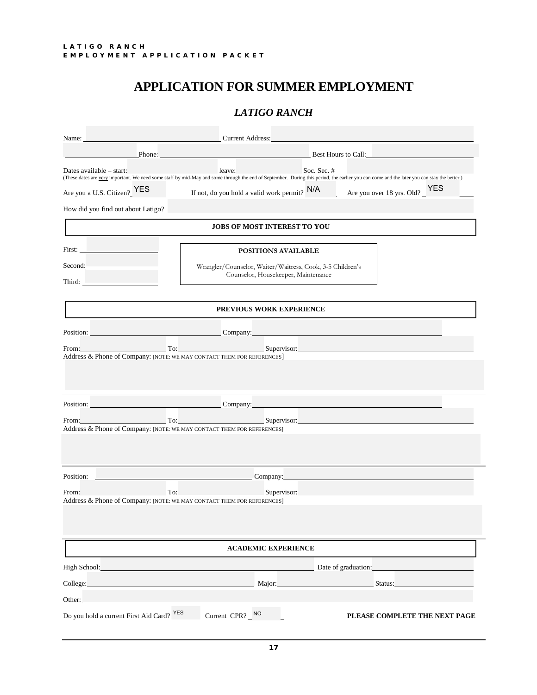## **APPLICATION FOR SUMMER EMPLOYMENT**

## *LATIGO RANCH*

| Name: $\sqrt{\frac{1}{2} \sum_{n=1}^{\infty} (n-1)^n}$ |     | Current Address:                                                                                                                                                                                                                                                                                               |                                     |                     |                               |  |
|--------------------------------------------------------|-----|----------------------------------------------------------------------------------------------------------------------------------------------------------------------------------------------------------------------------------------------------------------------------------------------------------------|-------------------------------------|---------------------|-------------------------------|--|
|                                                        |     | Phone: New York Street, New York Street, New York Street, New York Street, New York Street, New York Street, New York Street, New York Street, New York Street, New York Street, New York Street, New York Street, New York St                                                                                 |                                     | Best Hours to Call: |                               |  |
| Dates available – start:                               |     | leave:                                                                                                                                                                                                                                                                                                         | Soc. Sec. $#$                       |                     |                               |  |
| Are you a U.S. Citizen? YES                            |     | (These dates are very important. We need some staff by mid-May and some through the end of September. During this period, the earlier you can come and the later you can stay the better.)<br>If not, do you hold a valid work permit? N/A                                                                     |                                     |                     | Are you over 18 yrs. Old? NES |  |
| How did you find out about Latigo?                     |     |                                                                                                                                                                                                                                                                                                                |                                     |                     |                               |  |
|                                                        |     |                                                                                                                                                                                                                                                                                                                | <b>JOBS OF MOST INTEREST TO YOU</b> |                     |                               |  |
|                                                        |     |                                                                                                                                                                                                                                                                                                                |                                     |                     |                               |  |
| First: <u>Communication</u>                            |     |                                                                                                                                                                                                                                                                                                                | <b>POSITIONS AVAILABLE</b>          |                     |                               |  |
| Second:                                                |     | Wrangler/Counselor, Waiter/Waitress, Cook, 3-5 Children's                                                                                                                                                                                                                                                      | Counselor, Housekeeper, Maintenance |                     |                               |  |
| Third:                                                 |     |                                                                                                                                                                                                                                                                                                                |                                     |                     |                               |  |
|                                                        |     |                                                                                                                                                                                                                                                                                                                | PREVIOUS WORK EXPERIENCE            |                     |                               |  |
|                                                        |     |                                                                                                                                                                                                                                                                                                                |                                     |                     |                               |  |
| Position:                                              |     | Company:                                                                                                                                                                                                                                                                                                       |                                     |                     |                               |  |
| From:                                                  | To: |                                                                                                                                                                                                                                                                                                                | Supervisor:                         |                     |                               |  |
|                                                        |     | Address & Phone of Company: [NOTE: WE MAY CONTACT THEM FOR REFERENCES]                                                                                                                                                                                                                                         |                                     |                     |                               |  |
|                                                        |     |                                                                                                                                                                                                                                                                                                                |                                     |                     |                               |  |
|                                                        |     |                                                                                                                                                                                                                                                                                                                |                                     |                     |                               |  |
|                                                        |     | Company:                                                                                                                                                                                                                                                                                                       |                                     |                     |                               |  |
|                                                        | To: |                                                                                                                                                                                                                                                                                                                | Supervisor:                         |                     |                               |  |
|                                                        |     | Address & Phone of Company: [NOTE: WE MAY CONTACT THEM FOR REFERENCES]                                                                                                                                                                                                                                         |                                     |                     |                               |  |
| Position:<br>From:                                     |     |                                                                                                                                                                                                                                                                                                                |                                     |                     |                               |  |
| Position:                                              |     |                                                                                                                                                                                                                                                                                                                |                                     |                     |                               |  |
| From:                                                  |     | <b>Company:</b> Company:                                                                                                                                                                                                                                                                                       |                                     |                     |                               |  |
|                                                        |     | <u>To: Supervisor: Supervisor: Supervisor: Supervisor: Supervisor: Supervisor: Supervisor: Supervisor: Supervisor: Supervisor: Supervisor: Supervisor: Supervisor: Supervisor: Supervisor: Supervisor: Supervisor: Supervisor: S</u><br>Address & Phone of Company: [NOTE: WE MAY CONTACT THEM FOR REFERENCES] |                                     |                     |                               |  |
|                                                        |     |                                                                                                                                                                                                                                                                                                                |                                     |                     |                               |  |
|                                                        |     |                                                                                                                                                                                                                                                                                                                |                                     |                     |                               |  |
|                                                        |     |                                                                                                                                                                                                                                                                                                                | <b>ACADEMIC EXPERIENCE</b>          |                     |                               |  |
| High School:                                           |     |                                                                                                                                                                                                                                                                                                                |                                     | Date of graduation: |                               |  |
| College:                                               |     |                                                                                                                                                                                                                                                                                                                | Major:                              |                     | Status:                       |  |